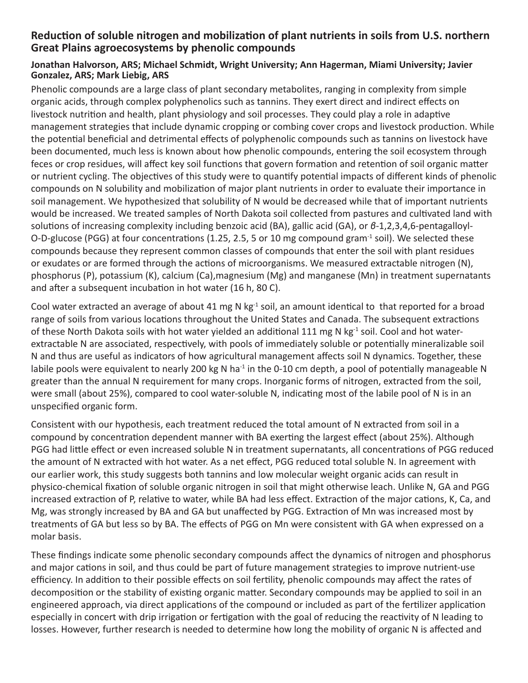## **Reduction of soluble nitrogen and mobilization of plant nutrients in soils from U.S. northern Great Plains agroecosystems by phenolic compounds**

## **Jonathan Halvorson, ARS; Michael Schmidt, Wright University; Ann Hagerman, Miami University; Javier Gonzalez, ARS; Mark Liebig, ARS**

Phenolic compounds are a large class of plant secondary metabolites, ranging in complexity from simple organic acids, through complex polyphenolics such as tannins. They exert direct and indirect effects on livestock nutrition and health, plant physiology and soil processes. They could play a role in adaptive management strategies that include dynamic cropping or combing cover crops and livestock production. While the potential beneficial and detrimental effects of polyphenolic compounds such as tannins on livestock have been documented, much less is known about how phenolic compounds, entering the soil ecosystem through feces or crop residues, will affect key soil functions that govern formation and retention of soil organic matter or nutrient cycling. The objectives of this study were to quantify potential impacts of different kinds of phenolic compounds on N solubility and mobilization of major plant nutrients in order to evaluate their importance in soil management. We hypothesized that solubility of N would be decreased while that of important nutrients would be increased. We treated samples of North Dakota soil collected from pastures and cultivated land with solutions of increasing complexity including benzoic acid (BA), gallic acid (GA), or *β*-1,2,3,4,6-pentagalloyl-O-D-glucose (PGG) at four concentrations (1.25, 2.5, 5 or 10 mg compound gram<sup>-1</sup> soil). We selected these compounds because they represent common classes of compounds that enter the soil with plant residues or exudates or are formed through the actions of microorganisms. We measured extractable nitrogen (N), phosphorus (P), potassium (K), calcium (Ca),magnesium (Mg) and manganese (Mn) in treatment supernatants and after a subsequent incubation in hot water (16 h, 80 C).

Cool water extracted an average of about 41 mg N kg $^{-1}$  soil, an amount identical to that reported for a broad range of soils from various locations throughout the United States and Canada. The subsequent extractions of these North Dakota soils with hot water yielded an additional 111 mg N kg<sup>-1</sup> soil. Cool and hot waterextractable N are associated, respectively, with pools of immediately soluble or potentially mineralizable soil N and thus are useful as indicators of how agricultural management affects soil N dynamics. Together, these labile pools were equivalent to nearly 200 kg N ha<sup>-1</sup> in the 0-10 cm depth, a pool of potentially manageable N greater than the annual N requirement for many crops. Inorganic forms of nitrogen, extracted from the soil, were small (about 25%), compared to cool water-soluble N, indicating most of the labile pool of N is in an unspecified organic form.

Consistent with our hypothesis, each treatment reduced the total amount of N extracted from soil in a compound by concentration dependent manner with BA exerting the largest effect (about 25%). Although PGG had little effect or even increased soluble N in treatment supernatants, all concentrations of PGG reduced the amount of N extracted with hot water. As a net effect, PGG reduced total soluble N. In agreement with our earlier work, this study suggests both tannins and low molecular weight organic acids can result in physico-chemical fixation of soluble organic nitrogen in soil that might otherwise leach. Unlike N, GA and PGG increased extraction of P, relative to water, while BA had less effect. Extraction of the major cations, K, Ca, and Mg, was strongly increased by BA and GA but unaffected by PGG. Extraction of Mn was increased most by treatments of GA but less so by BA. The effects of PGG on Mn were consistent with GA when expressed on a molar basis.

These findings indicate some phenolic secondary compounds affect the dynamics of nitrogen and phosphorus and major cations in soil, and thus could be part of future management strategies to improve nutrient-use efficiency. In addition to their possible effects on soil fertility, phenolic compounds may affect the rates of decomposition or the stability of existing organic matter. Secondary compounds may be applied to soil in an engineered approach, via direct applications of the compound or included as part of the fertilizer application especially in concert with drip irrigation or fertigation with the goal of reducing the reactivity of N leading to losses. However, further research is needed to determine how long the mobility of organic N is affected and